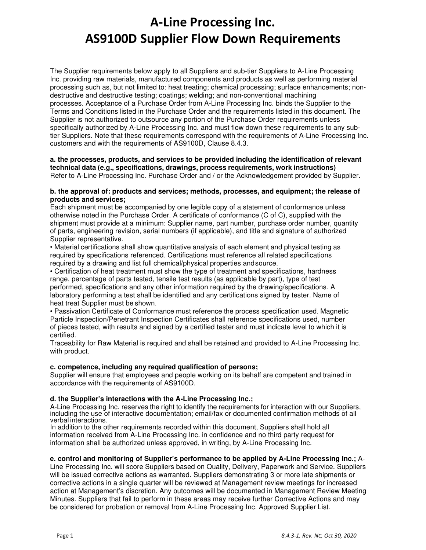The Supplier requirements below apply to all Suppliers and sub-tier Suppliers to A-Line Processing Inc. providing raw materials, manufactured components and products as well as performing material processing such as, but not limited to: heat treating; chemical processing; surface enhancements; nondestructive and destructive testing; coatings; welding; and non-conventional machining processes. Acceptance of a Purchase Order from A-Line Processing Inc. binds the Supplier to the Terms and Conditions listed in the Purchase Order and the requirements listed in this document. The Supplier is not authorized to outsource any portion of the Purchase Order requirements unless specifically authorized by A-Line Processing Inc. and must flow down these requirements to any subtier Suppliers. Note that these requirements correspond with the requirements of A-Line Processing Inc. customers and with the requirements of AS9100D, Clause 8.4.3.

#### **a. the processes, products, and services to be provided including the identification of relevant technical data (e.g., specifications, drawings, process requirements, work instructions)**  Refer to A-Line Processing Inc. Purchase Order and / or the Acknowledgement provided by Supplier.

#### **b. the approval of: products and services; methods, processes, and equipment; the release of products and services;**

Each shipment must be accompanied by one legible copy of a statement of conformance unless otherwise noted in the Purchase Order. A certificate of conformance (C of C), supplied with the shipment must provide at a minimum: Supplier name, part number, purchase order number, quantity of parts, engineering revision, serial numbers (if applicable), and title and signature of authorized Supplier representative.

• Material certifications shall show quantitative analysis of each element and physical testing as required by specifications referenced. Certifications must reference all related specifications required by a drawing and list full chemical/physical properties and source.

• Certification of heat treatment must show the type of treatment and specifications, hardness range, percentage of parts tested, tensile test results (as applicable by part), type of test performed, specifications and any other information required by the drawing/specifications. A laboratory performing a test shall be identified and any certifications signed by tester. Name of heat treat Supplier must be shown.

• Passivation Certificate of Conformance must reference the process specification used. Magnetic Particle Inspection/Penetrant Inspection Certificates shall reference specifications used, number of pieces tested, with results and signed by a certified tester and must indicate level to which it is certified.

Traceability for Raw Material is required and shall be retained and provided to A-Line Processing Inc. with product.

# **c. competence, including any required qualification of persons;**

Supplier will ensure that employees and people working on its behalf are competent and trained in accordance with the requirements of AS9100D.

# **d. the Supplier's interactions with the A-Line Processing Inc.;**

A-Line Processing Inc. reserves the right to identify the requirements for interaction with our Suppliers, including the use of interactive documentation; email/fax or documented confirmation methods of all verbal interactions.

In addition to the other requirements recorded within this document, Suppliers shall hold all information received from A-Line Processing Inc. in confidence and no third party request for information shall be authorized unless approved, in writing, by A-Line Processing Inc.

# **e. control and monitoring of Supplier's performance to be applied by A-Line Processing Inc.;** A-

Line Processing Inc. will score Suppliers based on Quality, Delivery, Paperwork and Service. Suppliers will be issued corrective actions as warranted. Suppliers demonstrating 3 or more late shipments or corrective actions in a single quarter will be reviewed at Management review meetings for increased action at Management's discretion. Any outcomes will be documented in Management Review Meeting Minutes. Suppliers that fail to perform in these areas may receive further Corrective Actions and may be considered for probation or removal from A-Line Processing Inc. Approved Supplier List.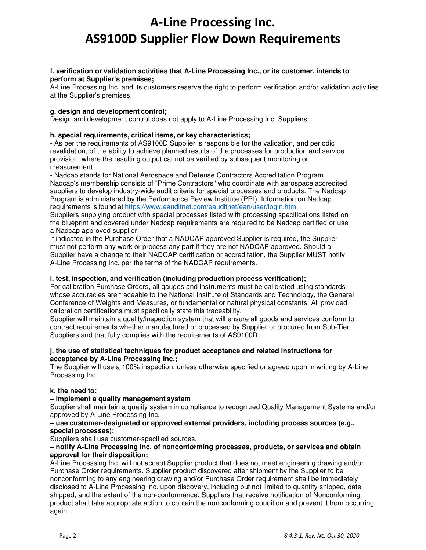## **f. verification or validation activities that A-Line Processing Inc., or its customer, intends to perform at Supplier's premises;**

A-Line Processing Inc. and its customers reserve the right to perform verification and/or validation activities at the Supplier's premises.

## **g. design and development control;**

Design and development control does not apply to A-Line Processing Inc. Suppliers.

### **h. special requirements, critical items, or key characteristics;**

- As per the requirements of AS9100D Supplier is responsible for the validation, and periodic revalidation, of the ability to achieve planned results of the processes for production and service provision, where the resulting output cannot be verified by subsequent monitoring or measurement.

- Nadcap stands for National Aerospace and Defense Contractors Accreditation Program. Nadcap's membership consists of "Prime Contractors" who coordinate with aerospace accredited suppliers to develop industry-wide audit criteria for special processes and products. The Nadcap Program is administered by the Performance Review Institute (PRI). Information on Nadcap requirements is found at https://www.eauditnet.com/eauditnet/ean/user/login.htm

Suppliers supplying product with special processes listed with processing specifications listed on the blueprint and covered under Nadcap requirements are required to be Nadcap certified or use a Nadcap approved supplier.

If indicated in the Purchase Order that a NADCAP approved Supplier is required, the Supplier must not perform any work or process any part if they are not NADCAP approved. Should a Supplier have a change to their NADCAP certification or accreditation, the Supplier MUST notify A-Line Processing Inc. per the terms of the NADCAP requirements.

### **i. test, inspection, and verification (including production process verification);**

For calibration Purchase Orders, all gauges and instruments must be calibrated using standards whose accuracies are traceable to the National Institute of Standards and Technology, the General Conference of Weights and Measures, or fundamental or natural physical constants. All provided calibration certifications must specifically state this traceability.

Supplier will maintain a quality/inspection system that will ensure all goods and services conform to contract requirements whether manufactured or processed by Supplier or procured from Sub-Tier Suppliers and that fully complies with the requirements of AS9100D.

#### **j. the use of statistical techniques for product acceptance and related instructions for acceptance by A-Line Processing Inc.;**

The Supplier will use a 100% inspection, unless otherwise specified or agreed upon in writing by A-Line Processing Inc.

#### **k. the need to:**

#### **− implement a quality management system**

Supplier shall maintain a quality system in compliance to recognized Quality Management Systems and/or approved by A-Line Processing Inc.

#### **− use customer-designated or approved external providers, including process sources (e.g., special processes);**

Suppliers shall use customer-specified sources.

### **− notify A-Line Processing Inc. of nonconforming processes, products, or services and obtain approval for their disposition;**

A-Line Processing Inc. will not accept Supplier product that does not meet engineering drawing and/or Purchase Order requirements. Supplier product discovered after shipment by the Supplier to be nonconforming to any engineering drawing and/or Purchase Order requirement shall be immediately disclosed to A-Line Processing Inc. upon discovery, including but not limited to quantity shipped, date shipped, and the extent of the non-conformance. Suppliers that receive notification of Nonconforming product shall take appropriate action to contain the nonconforming condition and prevent it from occurring again.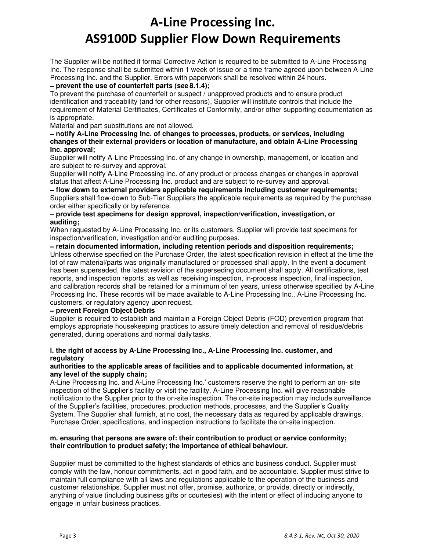The Supplier will be notified if formal Corrective Action is required to be submitted to A-Line Processing Inc. The response shall be submitted within 1 week of issue or a time frame agreed upon between A-Line Processing Inc. and the Supplier. Errors with paperwork shall be resolved within 24 hours.

# **− prevent the use of counterfeit parts (see 8.1.4);**

To prevent the purchase of counterfeit or suspect / unapproved products and to ensure product identification and traceability (and for other reasons), Supplier will institute controls that include the requirement of Material Certificates, Certificates of Conformity, and/or other supporting documentation as is appropriate.

Material and part substitutions are not allowed.

#### **− notify A-Line Processing Inc. of changes to processes, products, or services, including changes of their external providers or location of manufacture, and obtain A-Line Processing Inc. approval;**

Supplier will notify A-Line Processing Inc. of any change in ownership, management, or location and are subject to re-survey and approval.

Supplier will notify A-Line Processing Inc. of any product or process changes or changes in approval status that affect A-Line Processing Inc. product and are subject to re-survey and approval.

**− flow down to external providers applicable requirements including customer requirements;**  Suppliers shall flow-down to Sub-Tier Suppliers the applicable requirements as required by the purchase order either specifically or by reference.

## **− provide test specimens for design approval, inspection/verification, investigation, or auditing;**

When requested by A-Line Processing Inc. or its customers, Supplier will provide test specimens for inspection/verification, investigation and/or auditing purposes.

**− retain documented information, including retention periods and disposition requirements;**  Unless otherwise specified on the Purchase Order, the latest specification revision in effect at the time the lot of raw material/parts was originally manufactured or processed shall apply. In the event a document has been superseded, the latest revision of the superseding document shall apply. All certifications, test reports, and inspection reports, as well as receiving inspection, in-process inspection, final inspection, and calibration records shall be retained for a minimum of ten years, unless otherwise specified by A-Line Processing Inc. These records will be made available to A-Line Processing Inc., A-Line Processing Inc. customers, or regulatory agency upon request.

# **− prevent Foreign Object Debris**

Supplier is required to establish and maintain a Foreign Object Debris (FOD) prevention program that employs appropriate housekeeping practices to assure timely detection and removal of residue/debris generated, during operations and normal daily tasks.

# **l. the right of access by A-Line Processing Inc., A-Line Processing Inc. customer, and regulatory**

## **authorities to the applicable areas of facilities and to applicable documented information, at any level of the supply chain;**

A-Line Processing Inc. and A-Line Processing Inc.' customers reserve the right to perform an on- site inspection of the Supplier's facility or visit the facility. A-Line Processing Inc. will give reasonable notification to the Supplier prior to the on-site inspection. The on-site inspection may include surveillance of the Supplier's facilities, procedures, production methods, processes, and the Supplier's Quality System. The Supplier shall furnish, at no cost, the necessary data as required by applicable drawings, Purchase Order, specifications, and inspection instructions to facilitate the on-site inspection.

## **m. ensuring that persons are aware of: their contribution to product or service conformity; their contribution to product safety; the importance of ethical behaviour.**

Supplier must be committed to the highest standards of ethics and business conduct. Supplier must comply with the law, honour commitments, act in good faith, and be accountable. Supplier must strive to maintain full compliance with all laws and regulations applicable to the operation of the business and customer relationships. Supplier must not offer, promise, authorize, or provide, directly or indirectly, anything of value (including business gifts or courtesies) with the intent or effect of inducing anyone to engage in unfair business practices.